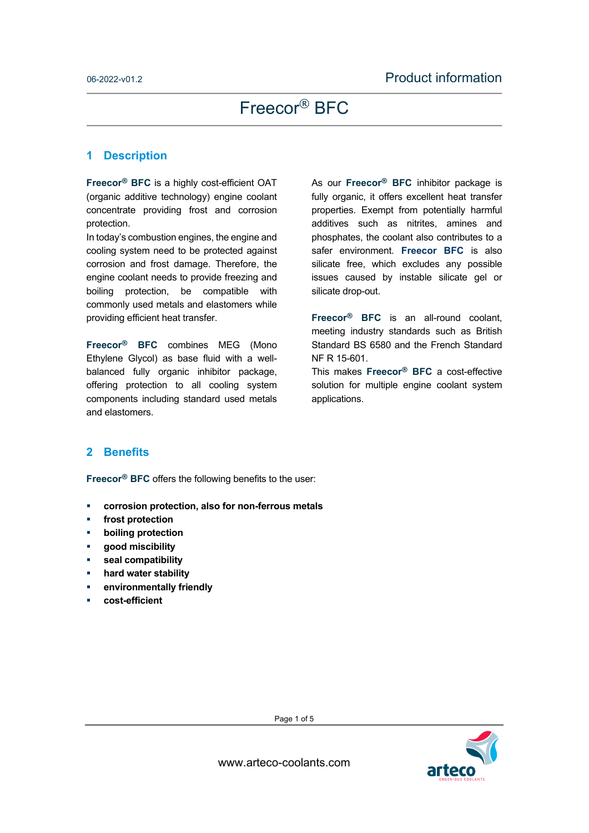### **1 Description**

**Freecor® BFC** is a highly cost-efficient OAT (organic additive technology) engine coolant concentrate providing frost and corrosion protection.

In today's combustion engines, the engine and cooling system need to be protected against corrosion and frost damage. Therefore, the engine coolant needs to provide freezing and boiling protection, be compatible with commonly used metals and elastomers while providing efficient heat transfer.

**Freecor® BFC** combines MEG (Mono Ethylene Glycol) as base fluid with a wellbalanced fully organic inhibitor package, offering protection to all cooling system components including standard used metals and elastomers.

As our **Freecor® BFC** inhibitor package is fully organic, it offers excellent heat transfer properties. Exempt from potentially harmful additives such as nitrites, amines and phosphates, the coolant also contributes to a safer environment. **Freecor BFC** is also silicate free, which excludes any possible issues caused by instable silicate gel or silicate drop-out.

**Freecor® BFC** is an all-round coolant, meeting industry standards such as British Standard BS 6580 and the French Standard NF R 15-601.

This makes **Freecor® BFC** a cost-effective solution for multiple engine coolant system applications.

## **2 Benefits**

**Freecor® BFC** offers the following benefits to the user:

- **corrosion protection, also for non-ferrous metals**
- **frost protection**
- **boiling protection**
- **good miscibility**
- **seal compatibility**
- **hard water stability**
- **environmentally friendly**
- **cost-efficient**



Page 1 of 5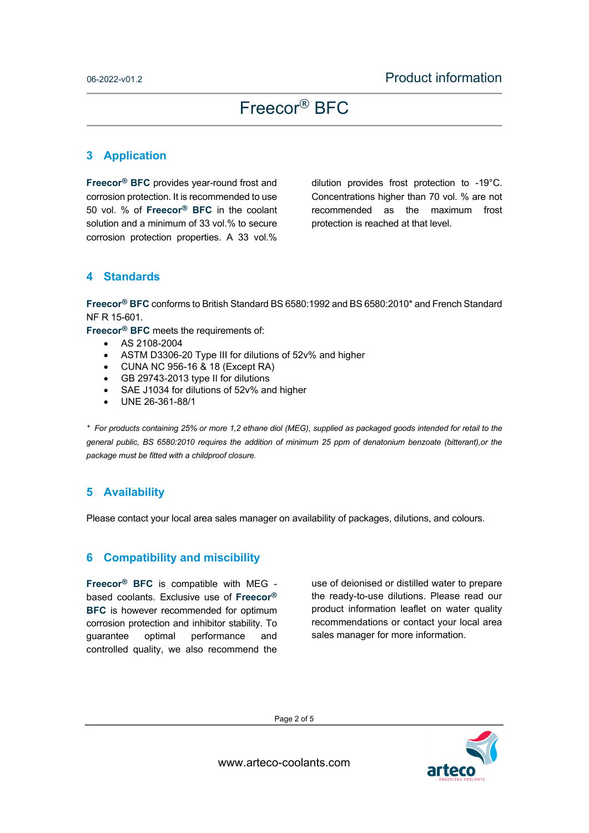## **3 Application**

**Freecor® BFC** provides year-round frost and corrosion protection. It is recommended to use 50 vol. % of **Freecor® BFC** in the coolant solution and a minimum of 33 vol.% to secure corrosion protection properties. A 33 vol.%

dilution provides frost protection to -19°C. Concentrations higher than 70 vol. % are not recommended as the maximum frost protection is reached at that level.

## **4 Standards**

**Freecor® BFC** conforms to British Standard BS 6580:1992 and BS 6580:2010\* and French Standard NF R 15-601.

**Freecor® BFC** meets the requirements of:

- AS 2108-2004
- ASTM D3306-20 Type III for dilutions of 52v% and higher
- CUNA NC 956-16 & 18 (Except RA)
- GB 29743-2013 type II for dilutions
- SAE J1034 for dilutions of 52v% and higher
- UNE 26-361-88/1

*\* For products containing 25% or more 1,2 ethane diol (MEG), supplied as packaged goods intended for retail to the general public, BS 6580:2010 requires the addition of minimum 25 ppm of denatonium benzoate (bitterant),or the package must be fitted with a childproof closure.* 

## **5 Availability**

Please contact your local area sales manager on availability of packages, dilutions, and colours.

### **6 Compatibility and miscibility**

**Freecor® BFC** is compatible with MEG based coolants. Exclusive use of **Freecor® BFC** is however recommended for optimum corrosion protection and inhibitor stability. To guarantee optimal performance and controlled quality, we also recommend the use of deionised or distilled water to prepare the ready-to-use dilutions. Please read our product information leaflet on water quality recommendations or contact your local area sales manager for more information.

Page 2 of 5



www.arteco-coolants.com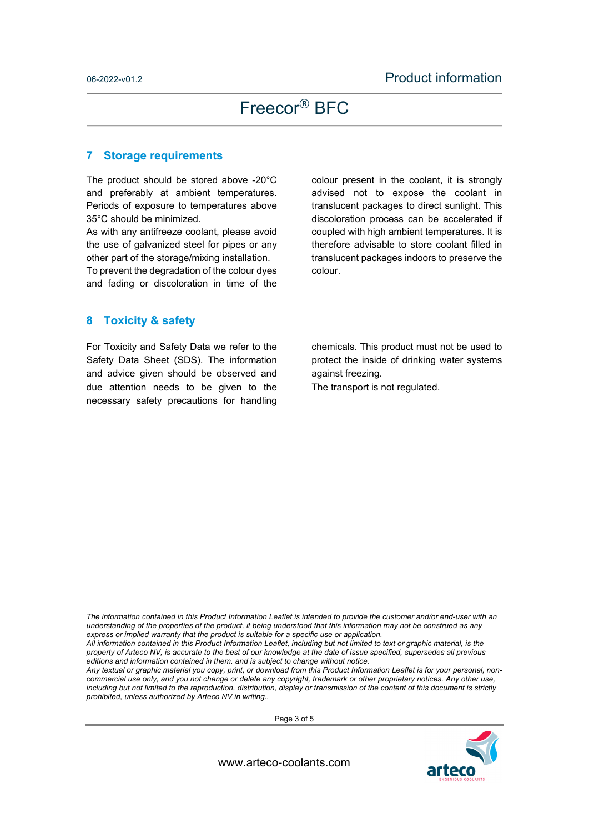#### **7 Storage requirements**

The product should be stored above -20°C and preferably at ambient temperatures. Periods of exposure to temperatures above 35°C should be minimized.

As with any antifreeze coolant, please avoid the use of galvanized steel for pipes or any other part of the storage/mixing installation. To prevent the degradation of the colour dyes and fading or discoloration in time of the

colour present in the coolant, it is strongly advised not to expose the coolant in translucent packages to direct sunlight. This discoloration process can be accelerated if coupled with high ambient temperatures. It is therefore advisable to store coolant filled in translucent packages indoors to preserve the colour.

### **8 Toxicity & safety**

For Toxicity and Safety Data we refer to the Safety Data Sheet (SDS). The information and advice given should be observed and due attention needs to be given to the necessary safety precautions for handling

chemicals. This product must not be used to protect the inside of drinking water systems against freezing.

The transport is not regulated.

*The information contained in this Product Information Leaflet is intended to provide the customer and/or end-user with an understanding of the properties of the product, it being understood that this information may not be construed as any express or implied warranty that the product is suitable for a specific use or application.* 

*All information contained in this Product Information Leaflet, including but not limited to text or graphic material, is the property of Arteco NV, is accurate to the best of our knowledge at the date of issue specified, supersedes all previous editions and information contained in them. and is subject to change without notice.* 

*Any textual or graphic material you copy, print, or download from this Product Information Leaflet is for your personal, noncommercial use only, and you not change or delete any copyright, trademark or other proprietary notices. Any other use, including but not limited to the reproduction, distribution, display or transmission of the content of this document is strictly prohibited, unless authorized by Arteco NV in writing..*

Page 3 of 5



www.arteco-coolants.com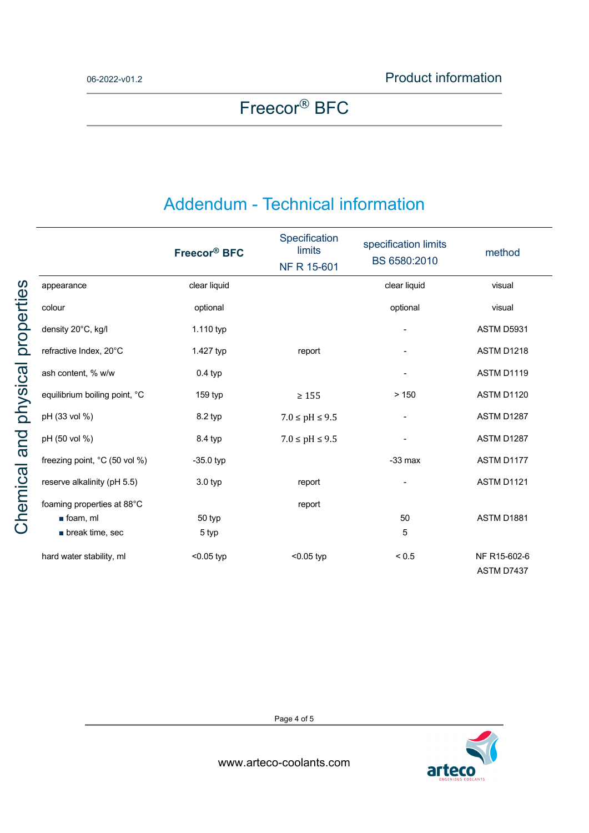## Addendum - Technical information

|                                | Freecor <sup>®</sup> BFC | Specification<br>limits<br>NF R 15-601 | specification limits<br>BS 6580:2010 | method                     |
|--------------------------------|--------------------------|----------------------------------------|--------------------------------------|----------------------------|
| appearance                     | clear liquid             |                                        | clear liquid                         | visual                     |
| colour                         | optional                 |                                        | optional                             | visual                     |
| density 20°C, kg/l             | 1.110 typ                |                                        |                                      | ASTM D5931                 |
| refractive Index, 20°C         | 1.427 typ                | report                                 |                                      | ASTM D1218                 |
| ash content, % w/w             | $0.4$ typ                |                                        |                                      | ASTM D1119                 |
| equilibrium boiling point, °C  | 159 typ                  | $\geq 155$                             | > 150                                | ASTM D1120                 |
| pH (33 vol %)                  | 8.2 typ                  | $7.0 \le pH \le 9.5$                   | -                                    | ASTM D1287                 |
| pH (50 vol %)                  | 8.4 typ                  | $7.0 \le pH \le 9.5$                   |                                      | ASTM D1287                 |
| freezing point, °C (50 vol %)  | $-35.0$ typ              |                                        | $-33$ max                            | ASTM D1177                 |
| reserve alkalinity (pH 5.5)    | $3.0$ typ                | report                                 |                                      | ASTM D1121                 |
| foaming properties at 88°C     |                          | report                                 |                                      |                            |
| $\blacksquare$ foam, ml        | 50 typ                   |                                        | 50                                   | ASTM D1881                 |
| $\blacksquare$ break time, sec | 5 typ                    |                                        | 5                                    |                            |
| hard water stability, ml       | $<$ 0.05 typ             | $<$ 0.05 typ                           | ${}_{< 0.5}$                         | NF R15-602-6<br>ASTM D7437 |

Page 4 of 5